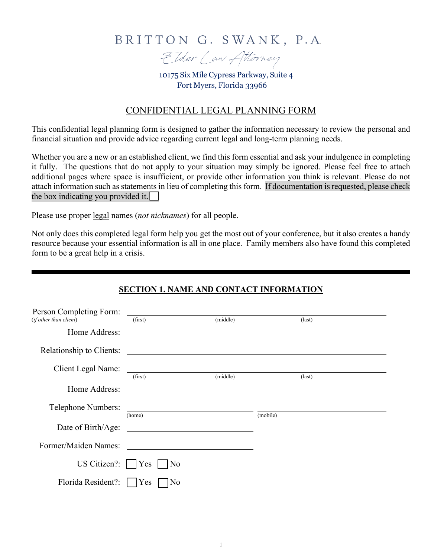# BRITTON G. SWANK, P.A.



10175 Six Mile Cypress Parkway, Suite 4 Fort Myers, Florida 33966

# CONFIDENTIAL LEGAL PLANNING FORM

This confidential legal planning form is designed to gather the information necessary to review the personal and financial situation and provide advice regarding current legal and long-term planning needs.

Whether you are a new or an established client, we find this form essential and ask your indulgence in completing it fully. The questions that do not apply to your situation may simply be ignored. Please feel free to attach additional pages where space is insufficient, or provide other information you think is relevant. Please do not attach information such as statements in lieu of completing this form. If documentation is requested, please check the box indicating you provided it.  $\Box$ 

Please use proper legal names (*not nicknames*) for all people.

Not only does this completed legal form help you get the most out of your conference, but it also creates a handy resource because your essential information is all in one place. Family members also have found this completed form to be a great help in a crisis.

# **SECTION 1. NAME AND CONTACT INFORMATION**

| Person Completing Form:<br>(if other than client) | (first)                                                    | (middle) |          | $\text{(last)}$ |
|---------------------------------------------------|------------------------------------------------------------|----------|----------|-----------------|
| Home Address:                                     | <u> 1980 - John Stein, Amerikaansk politiker (</u> † 1920) |          |          |                 |
| Relationship to Clients:                          |                                                            |          |          |                 |
| <b>Client Legal Name:</b>                         | (first)                                                    | (middle) |          | $last)$         |
| Home Address:                                     |                                                            |          |          |                 |
| Telephone Numbers:                                | (home)                                                     |          | (mobile) |                 |
| Date of Birth/Age:                                |                                                            |          |          |                 |
| Former/Maiden Names:                              |                                                            |          |          |                 |
| US Citizen?: $ $   Yes                            | N <sub>o</sub>                                             |          |          |                 |
| Florida Resident?:                                | <b>Yes</b><br>No                                           |          |          |                 |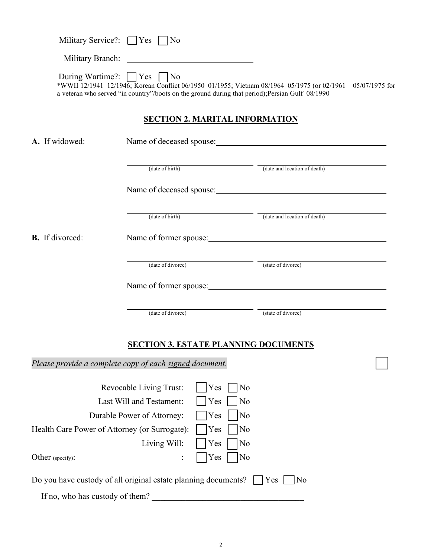| Military Service?: $\Box$ Yes $\Box$ No                                  |                            |                                             |                                                                                                                                                                                                                 |
|--------------------------------------------------------------------------|----------------------------|---------------------------------------------|-----------------------------------------------------------------------------------------------------------------------------------------------------------------------------------------------------------------|
|                                                                          |                            |                                             |                                                                                                                                                                                                                 |
| During Wartime?: Yes No                                                  |                            |                                             | *WWII 12/1941-12/1946; Korean Conflict 06/1950-01/1955; Vietnam 08/1964-05/1975 (or 02/1961 - 05/07/1975 for<br>a veteran who served "in country"/boots on the ground during that period); Persian Gulf-08/1990 |
|                                                                          |                            | <b>SECTION 2. MARITAL INFORMATION</b>       |                                                                                                                                                                                                                 |
| A. If widowed:                                                           |                            |                                             | Name of deceased spouse:                                                                                                                                                                                        |
|                                                                          | (date of birth)            |                                             | (date and location of death)                                                                                                                                                                                    |
|                                                                          |                            |                                             | Name of deceased spouse:                                                                                                                                                                                        |
|                                                                          | (date of birth)            |                                             | (date and location of death)                                                                                                                                                                                    |
| <b>B.</b> If divorced:                                                   |                            |                                             | Name of former spouse:                                                                                                                                                                                          |
|                                                                          |                            | (date of divorce)                           | (state of divorce)                                                                                                                                                                                              |
|                                                                          |                            |                                             | Name of former spouse:                                                                                                                                                                                          |
|                                                                          | (date of divorce)          |                                             | (state of divorce)                                                                                                                                                                                              |
|                                                                          |                            | <u>SECTION 3. ESTATE PLANNING DOCUMENTS</u> |                                                                                                                                                                                                                 |
| Please provide a complete copy of each signed document.                  |                            |                                             |                                                                                                                                                                                                                 |
|                                                                          | Revocable Living Trust:    | Yes<br>No                                   |                                                                                                                                                                                                                 |
|                                                                          | Last Will and Testament:   | Yes<br>No                                   |                                                                                                                                                                                                                 |
|                                                                          | Durable Power of Attorney: | Yes<br>No                                   |                                                                                                                                                                                                                 |
| Health Care Power of Attorney (or Surrogate):                            |                            | Yes<br>No                                   |                                                                                                                                                                                                                 |
|                                                                          | Living Will:               | Yes<br>No                                   |                                                                                                                                                                                                                 |
| Other (specify):                                                         |                            | Yes<br>No                                   |                                                                                                                                                                                                                 |
| Do you have custody of all original estate planning documents?       Yes |                            |                                             | No                                                                                                                                                                                                              |
| If no, who has custody of them?                                          |                            |                                             |                                                                                                                                                                                                                 |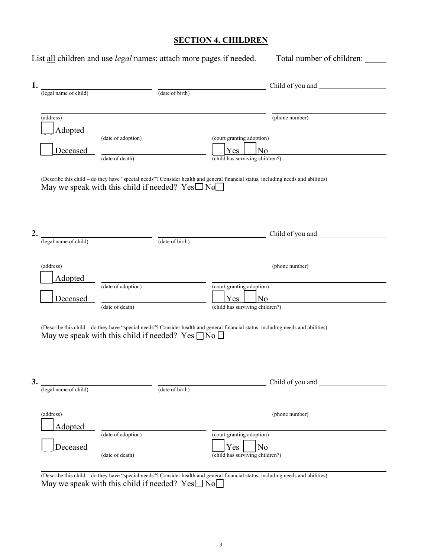# **SECTION 4. CHILDREN**

|    |                       | List all children and use <i>legal</i> names; attach more pages if needed.                                                                                                                        |                                                                                       | Total number of children: |
|----|-----------------------|---------------------------------------------------------------------------------------------------------------------------------------------------------------------------------------------------|---------------------------------------------------------------------------------------|---------------------------|
| 1. | (legal name of child) | (date of birth)                                                                                                                                                                                   |                                                                                       |                           |
|    | (address)<br>Adopted  |                                                                                                                                                                                                   |                                                                                       | (phone number)            |
|    | Deceased              | (date of adoption)<br>(date of death)                                                                                                                                                             | (court granting adoption)<br>Yes<br>No<br>(child has surviving children?)             |                           |
|    |                       | (Describe this child - do they have "special needs"? Consider health and general financial status, including needs and abilities)<br>May we speak with this child if needed? $Yes \Box No \Box$   |                                                                                       |                           |
| 2. | (legal name of child) | (date of birth)                                                                                                                                                                                   |                                                                                       |                           |
|    | (address)<br>Adopted  |                                                                                                                                                                                                   |                                                                                       | (phone number)            |
|    | Deceased              | (date of adoption)<br>(date of death)                                                                                                                                                             | (court granting adoption)<br>Yes<br>No<br>(child has surviving children?)             |                           |
|    |                       | (Describe this child - do they have "special needs"? Consider health and general financial status, including needs and abilities)<br>May we speak with this child if needed? Yes $\Box$ No $\Box$ |                                                                                       |                           |
| 3. | (legal name of child) | (date of birth)                                                                                                                                                                                   |                                                                                       | Child of you and          |
|    | (address)<br>Adopted  |                                                                                                                                                                                                   |                                                                                       | (phone number)            |
|    | Deceased              | (date of adoption)<br>(date of death)                                                                                                                                                             | (court granting adoption)<br>Yes<br>N <sub>o</sub><br>(child has surviving children?) |                           |
|    |                       |                                                                                                                                                                                                   |                                                                                       |                           |

(Describe this child – do they have "special needs"? Consider health and general financial status, including needs and abilities) May we speak with this child if needed?  $Yes \Box No \Box$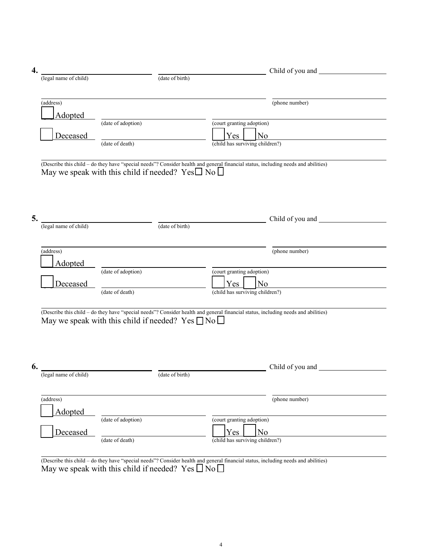| 4. |                       |                                                              | Child of you and                                                                                                                  |
|----|-----------------------|--------------------------------------------------------------|-----------------------------------------------------------------------------------------------------------------------------------|
|    | (legal name of child) | (date of birth)                                              |                                                                                                                                   |
|    |                       |                                                              |                                                                                                                                   |
|    |                       |                                                              |                                                                                                                                   |
|    | (address)             |                                                              | (phone number)                                                                                                                    |
|    | Adopted               |                                                              |                                                                                                                                   |
|    |                       | (date of adoption)                                           | (court granting adoption)                                                                                                         |
|    | Deceased              |                                                              | Yes<br>No                                                                                                                         |
|    |                       | (date of death)                                              | $\overline{\text{(child}}$ has surviving children?)                                                                               |
|    |                       |                                                              |                                                                                                                                   |
|    |                       |                                                              |                                                                                                                                   |
|    |                       |                                                              | (Describe this child - do they have "special needs"? Consider health and general financial status, including needs and abilities) |
|    |                       | May we speak with this child if needed? $Yes \Box No \Box$   |                                                                                                                                   |
|    |                       |                                                              |                                                                                                                                   |
|    |                       |                                                              |                                                                                                                                   |
|    |                       |                                                              |                                                                                                                                   |
|    |                       |                                                              |                                                                                                                                   |
| 5. |                       | (legal name of child)                                        | Child of you and                                                                                                                  |
|    |                       | $(\text{date of birth})$                                     |                                                                                                                                   |
|    |                       |                                                              |                                                                                                                                   |
|    |                       |                                                              |                                                                                                                                   |
|    | (address)             |                                                              | (phone number)                                                                                                                    |
|    | <b>Adopted</b>        |                                                              |                                                                                                                                   |
|    |                       | (date of adoption)                                           | (court granting adoption)                                                                                                         |
|    |                       |                                                              |                                                                                                                                   |
|    | Deceased              | (date of death)                                              | Yes<br>N <sub>o</sub><br>(child has surviving children?)                                                                          |
|    |                       |                                                              |                                                                                                                                   |
|    |                       |                                                              |                                                                                                                                   |
|    |                       |                                                              | (Describe this child - do they have "special needs"? Consider health and general financial status, including needs and abilities) |
|    |                       | May we speak with this child if needed? Yes $\Box$ No $\Box$ |                                                                                                                                   |
|    |                       |                                                              |                                                                                                                                   |
|    |                       |                                                              |                                                                                                                                   |
|    |                       |                                                              |                                                                                                                                   |
|    |                       |                                                              |                                                                                                                                   |
| 6. |                       |                                                              | Child of you and                                                                                                                  |
|    | (legal name of child) | (date of birth)                                              |                                                                                                                                   |
|    |                       |                                                              |                                                                                                                                   |
|    |                       |                                                              |                                                                                                                                   |
|    | (address)             |                                                              | (phone number)                                                                                                                    |
|    | Adopted               |                                                              |                                                                                                                                   |
|    |                       | (date of adoption)                                           | (court granting adoption)                                                                                                         |
|    |                       |                                                              |                                                                                                                                   |
|    | Deceased              |                                                              | Yes<br>N <sub>o</sub>                                                                                                             |
|    |                       | (date of death)                                              | (child has surviving children?)                                                                                                   |
|    |                       |                                                              |                                                                                                                                   |

(Describe this child – do they have "special needs"? Consider health and general financial status, including needs and abilities) May we speak with this child if needed? Yes  $\Box$  No  $\Box$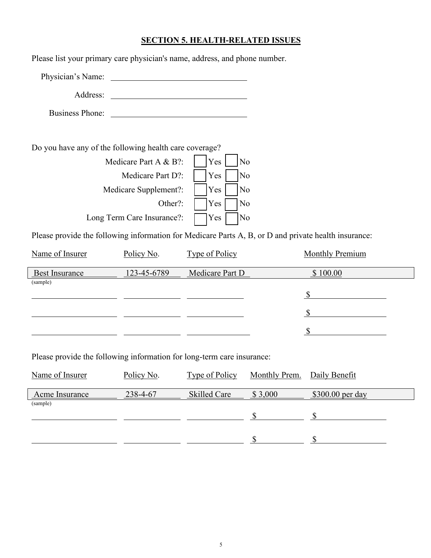### **SECTION 5. HEALTH-RELATED ISSUES**

Please list your primary care physician's name, address, and phone number. Physician's Name: Address: Business Phone: Do you have any of the following health care coverage? Medicare Part A & B?:  $|$  | Yes | | No

|                         | Medicare Part D?: $ $   Yes     No       |
|-------------------------|------------------------------------------|
|                         | Medicare Supplement?:       Yes       No |
| $ $ Yes $ $ No          | Other?:                                  |
| $\sqrt{N}$<br>$ $   Yes | Long Term Care Insurance?:               |

Please provide the following information for Medicare Parts A, B, or D and private health insurance:

| Name of Insurer       | Policy No.  | Type of Policy  | Monthly Premium |
|-----------------------|-------------|-----------------|-----------------|
| <b>Best Insurance</b> | 123-45-6789 | Medicare Part D | \$100.00        |
| (sample)              |             |                 |                 |
|                       |             |                 |                 |
|                       |             |                 |                 |
|                       |             |                 |                 |

Please provide the following information for long-term care insurance:

| Name of Insurer | Policy No. | <b>Type of Policy</b> | Monthly Prem. Daily Benefit |                   |
|-----------------|------------|-----------------------|-----------------------------|-------------------|
| Acme Insurance  | 238-4-67   | Skilled Care          | \$3,000                     | $$300.00$ per day |
| (sample)        |            |                       |                             |                   |
|                 |            |                       |                             |                   |
|                 |            |                       |                             |                   |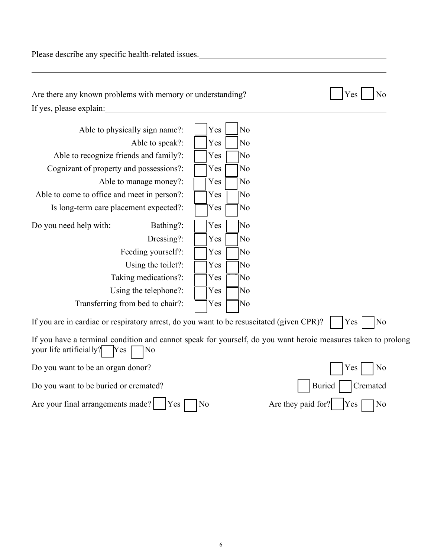Please describe any specific health-related issues.<br>
<u>Please</u> describe any specific health-related issues.

| Are there any known problems with memory or understanding?                                                                                           | Yes<br>No               |                            |
|------------------------------------------------------------------------------------------------------------------------------------------------------|-------------------------|----------------------------|
| If yes, please explain:                                                                                                                              |                         |                            |
| Able to physically sign name?:                                                                                                                       | Yes<br>No               |                            |
| Able to speak?:                                                                                                                                      | Yes<br>No               |                            |
| Able to recognize friends and family?:                                                                                                               | Yes<br>No               |                            |
| Cognizant of property and possessions?:                                                                                                              | No<br>Yes               |                            |
| Able to manage money?:                                                                                                                               | No<br>Yes               |                            |
| Able to come to office and meet in person?:                                                                                                          | No<br>Yes               |                            |
| Is long-term care placement expected?:                                                                                                               | N <sub>o</sub><br>Yes   |                            |
| Do you need help with:<br>Bathing?:                                                                                                                  | Yes<br>No               |                            |
| Dressing?:                                                                                                                                           | No<br>Yes               |                            |
| Feeding yourself?:                                                                                                                                   | No<br>Yes               |                            |
| Using the toilet?:                                                                                                                                   | No<br>Yes               |                            |
| Taking medications?:                                                                                                                                 | No<br>Yes               |                            |
| Using the telephone?:                                                                                                                                | No<br>Yes               |                            |
| Transferring from bed to chair?:                                                                                                                     | No<br>Yes               |                            |
| If you are in cardiac or respiratory arrest, do you want to be resuscitated (given CPR)?                                                             |                         | $\overline{\rm No}$<br>Yes |
| If you have a terminal condition and cannot speak for yourself, do you want heroic measures taken to prolong<br>your life artificially?<br>Yes<br>No |                         |                            |
| Do you want to be an organ donor?                                                                                                                    |                         | N <sub>o</sub><br>Yes      |
| Do you want to be buried or cremated?<br><b>Buried</b><br>Cremated                                                                                   |                         |                            |
| Are your final arrangements made?<br><b>Yes</b>                                                                                                      | Are they paid for<br>No | N <sub>o</sub><br>Y es     |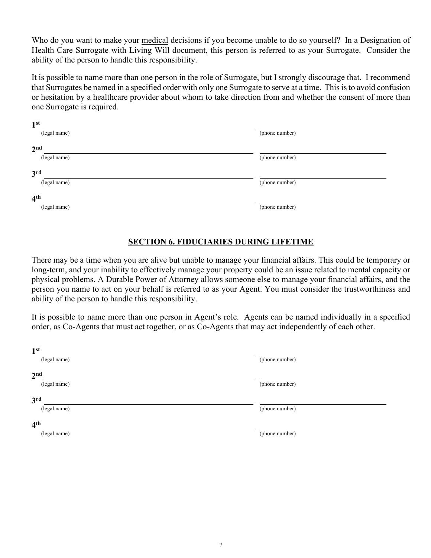Who do you want to make your medical decisions if you become unable to do so yourself? In a Designation of Health Care Surrogate with Living Will document, this person is referred to as your Surrogate. Consider the ability of the person to handle this responsibility.

It is possible to name more than one person in the role of Surrogate, but I strongly discourage that. I recommend that Surrogates be named in a specified order with only one Surrogate to serve at a time. This is to avoid confusion or hesitation by a healthcare provider about whom to take direction from and whether the consent of more than one Surrogate is required.

| 1 <sup>st</sup> |                |
|-----------------|----------------|
| (legal name)    | (phone number) |
| 2 <sup>nd</sup> |                |
| (legal name)    | (phone number) |
| 3 <sup>rd</sup> |                |
| (legal name)    | (phone number) |
| 4 <sup>th</sup> |                |
| (legal name)    | (phone number) |

#### **SECTION 6. FIDUCIARIES DURING LIFETIME**

There may be a time when you are alive but unable to manage your financial affairs. This could be temporary or long-term, and your inability to effectively manage your property could be an issue related to mental capacity or physical problems. A Durable Power of Attorney allows someone else to manage your financial affairs, and the person you name to act on your behalf is referred to as your Agent. You must consider the trustworthiness and ability of the person to handle this responsibility.

It is possible to name more than one person in Agent's role. Agents can be named individually in a specified order, as Co-Agents that must act together, or as Co-Agents that may act independently of each other.

| 1 <sup>st</sup> |                |
|-----------------|----------------|
| (legal name)    | (phone number) |
| 2 <sup>nd</sup> |                |
| (legal name)    | (phone number) |
| 3 <sup>rd</sup> |                |
| (legal name)    | (phone number) |
| 4 <sup>th</sup> |                |
| (legal name)    | (phone number) |
|                 |                |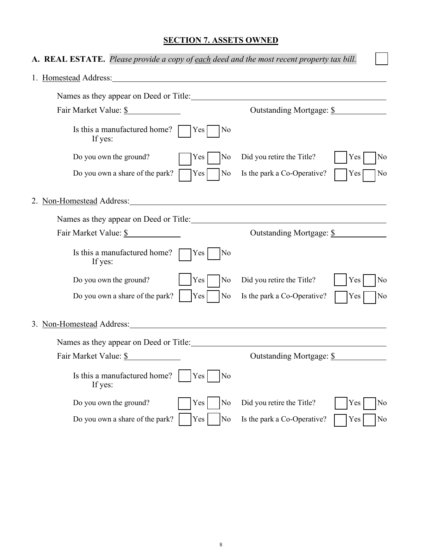# **SECTION 7. ASSETS OWNED**

| A. REAL ESTATE. Please provide a copy of each deed and the most recent property tax bill.                                                                                                                                            |                                                            |
|--------------------------------------------------------------------------------------------------------------------------------------------------------------------------------------------------------------------------------------|------------------------------------------------------------|
| 1. Homestead Address: The Second Second Second Second Second Second Second Second Second Second Second Second Second Second Second Second Second Second Second Second Second Second Second Second Second Second Second Second        |                                                            |
| Names as they appear on Deed or Title:                                                                                                                                                                                               |                                                            |
| Fair Market Value: \$                                                                                                                                                                                                                | Outstanding Mortgage: \$                                   |
| Is this a manufactured home?<br>Yes<br>If yes:                                                                                                                                                                                       | No                                                         |
| Do you own the ground?<br>Yes                                                                                                                                                                                                        | Did you retire the Title?<br>No<br>Yes<br>No               |
| Do you own a share of the park?<br> Yes                                                                                                                                                                                              | No<br>Is the park a Co-Operative?<br>Yes<br>No             |
| 2. Non-Homestead Address: 2012 12:2012                                                                                                                                                                                               |                                                            |
| Names as they appear on Deed or Title: <u>container and the set of the set of the set of the set of the set of the set of the set of the set of the set of the set of the set of the set of the set of the set of the set of the</u> |                                                            |
| Fair Market Value: \$                                                                                                                                                                                                                | Outstanding Mortgage: \$                                   |
| Is this a manufactured home? $\Box$ Yes<br>If yes:                                                                                                                                                                                   | No                                                         |
| Do you own the ground?<br>Yes                                                                                                                                                                                                        | No<br>Did you retire the Title?<br>Yes<br>No               |
| Do you own a share of the park?<br>Yes <sup> </sup>                                                                                                                                                                                  | No<br>Is the park a Co-Operative?<br>Yes<br>No             |
| 3. Non-Homestead Address:                                                                                                                                                                                                            |                                                            |
| Names as they appear on Deed or Title:                                                                                                                                                                                               |                                                            |
| Fair Market Value: \$                                                                                                                                                                                                                | Outstanding Mortgage: \$                                   |
| Is this a manufactured home?<br>Yes<br>If yes:                                                                                                                                                                                       | No                                                         |
| Do you own the ground?<br>Yes                                                                                                                                                                                                        | Did you retire the Title?<br>No<br>Yes<br>No               |
| Yes<br>Do you own a share of the park?                                                                                                                                                                                               | N <sub>o</sub><br>Is the park a Co-Operative?<br>Yes<br>No |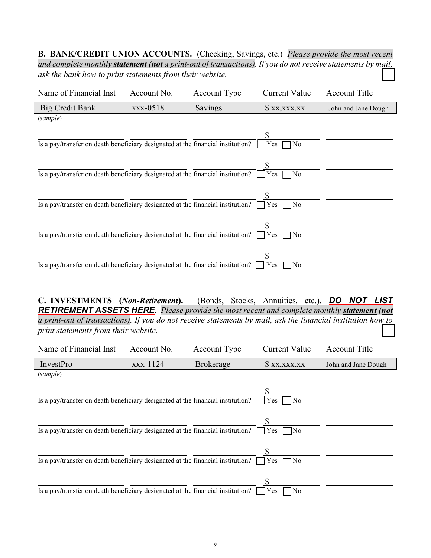**B. BANK/CREDIT UNION ACCOUNTS.** (Checking, Savings, etc.)*Please provide the most recent and complete monthly statement (not a print-out of transactions). If you do not receive statements by mail, ask the bank how to print statements from their website.* ☐

| Name of Financial Inst                                                                 | Account No.       | <b>Account Type</b> | Current Value                 | Account Title       |
|----------------------------------------------------------------------------------------|-------------------|---------------------|-------------------------------|---------------------|
| <b>Big Credit Bank</b>                                                                 | $\text{XXX}-0518$ | Savings             | X, X, X, X, X                 | John and Jane Dough |
| (sample)                                                                               |                   |                     |                               |                     |
| Is a pay/transfer on death beneficiary designated at the financial institution?        |                   |                     | N <sub>o</sub><br>Yes.        |                     |
| Is a pay/transfer on death beneficiary designated at the financial institution?        |                   |                     | Yes<br>]No                    |                     |
| Is a pay/transfer on death beneficiary designated at the financial institution?        |                   |                     | 7N <sub>o</sub><br><b>Yes</b> |                     |
| Is a pay/transfer on death beneficiary designated at the financial institution?        |                   |                     | $\neg$ No<br>Yes              |                     |
| Is a pay/transfer on death beneficiary designated at the financial institution? $\Box$ |                   |                     | $\neg$ No<br>Yes.             |                     |

**C. INVESTMENTS (***Non-Retirement***).** (Bonds, Stocks, Annuities, etc.). *DO NOT LIST RETIREMENT ASSETS HERE.**Please provide the most recent and complete monthly statement (not a print-out of transactions). If you do not receive statements by mail, ask the financial institution how to print statements from their website.* 

| Name of Financial Inst                                                                 | Account No. | <b>Account Type</b> | <b>Current Value</b>   | <b>Account Title</b> |
|----------------------------------------------------------------------------------------|-------------|---------------------|------------------------|----------------------|
| InvestPro                                                                              | xxx-1124    | <b>Brokerage</b>    | $X_1, X_2, X_3, X_4$   | John and Jane Dough  |
| (sample)                                                                               |             |                     |                        |                      |
|                                                                                        |             |                     |                        |                      |
| Is a pay/transfer on death beneficiary designated at the financial institution?        |             |                     | No<br>l Yes            |                      |
|                                                                                        |             |                     |                        |                      |
|                                                                                        |             |                     |                        |                      |
| Is a pay/transfer on death beneficiary designated at the financial institution? $\Box$ |             |                     | Yes<br>$\Box$ No       |                      |
|                                                                                        |             |                     |                        |                      |
| Is a pay/transfer on death beneficiary designated at the financial institution?        |             |                     | $\vert$ Yes $\vert$ No |                      |
|                                                                                        |             |                     | S                      |                      |
| Is a pay/transfer on death beneficiary designated at the financial institution?        |             |                     | 7No<br>Yes             |                      |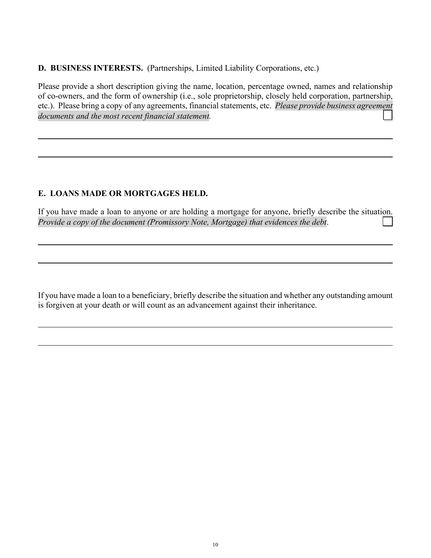**D. BUSINESS INTERESTS.** (Partnerships, Limited Liability Corporations, etc.)

Please provide a short description giving the name, location, percentage owned, names and relationship of co-owners, and the form of ownership (i.e., sole proprietorship, closely held corporation, partnership, etc.). Please bring a copy of any agreements, financial statements, etc.*Please provide business agreement*  documents and the most recent financial statement.

# **E. LOANS MADE OR MORTGAGES HELD.**

If you have made a loan to anyone or are holding a mortgage for anyone, briefly describe the situation. *Provide a copy of the document (Promissory Note, Mortgage) that evidences the debt.* 

If you have made a loan to a beneficiary, briefly describe the situation and whether any outstanding amount is forgiven at your death or will count as an advancement against their inheritance.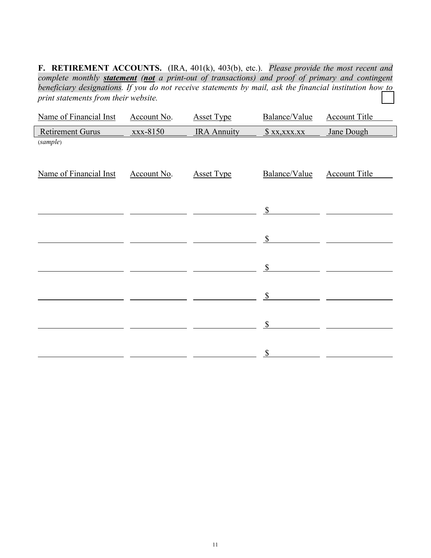**F. RETIREMENT ACCOUNTS.** (IRA, 401(k), 403(b), etc.). *Please provide the most recent and complete monthly statement (not a print-out of transactions) and proof of primary and contingent beneficiary designations. If you do not receive statements by mail, ask the financial institution how to*   $print$  statements from their website.

| Name of Financial Inst | Account No. | <b>Asset Type</b>  | Balance/Value             | <b>Account Title</b> |
|------------------------|-------------|--------------------|---------------------------|----------------------|
| Retirement Gurus       | xxx-8150    | <b>IRA Annuity</b> | $X_1, X_2, X_3, X_4$      | Jane Dough           |
| (sample)               |             |                    |                           |                      |
|                        |             |                    |                           |                      |
| Name of Financial Inst | Account No. | <b>Asset Type</b>  | Balance/Value             | <b>Account Title</b> |
|                        |             |                    |                           |                      |
|                        |             |                    |                           |                      |
|                        |             |                    | $\mathbb{S}$              |                      |
|                        |             |                    | $\boldsymbol{\mathsf{S}}$ |                      |
|                        |             |                    |                           |                      |
|                        |             |                    | $\mathbb{S}$              |                      |
|                        |             |                    |                           |                      |
|                        |             |                    | $\mathbb{S}$              |                      |
|                        |             |                    |                           |                      |
|                        |             |                    | $\boldsymbol{\mathsf{S}}$ |                      |
|                        |             |                    |                           |                      |
|                        |             |                    | $\$$                      |                      |
|                        |             |                    |                           |                      |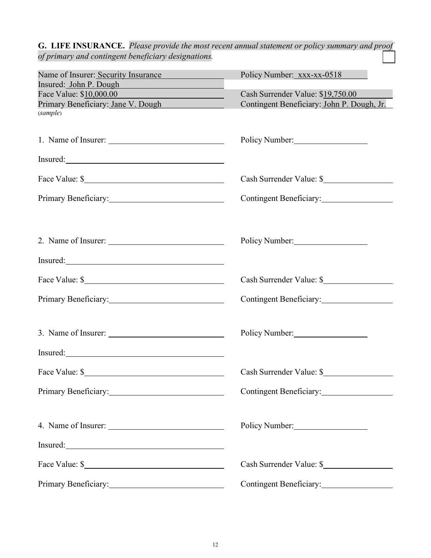*of primary and contingent beneficiary designations.* Name of Insurer: Security Insurance Policy Number: xxx-xx-0518 Insured: John P. Dough Face Value: \$10,000.00 Cash Surrender Value: \$19,750.00 Primary Beneficiary: Jane V. Dough Contingent Beneficiary: John P. Dough, Jr. (*sample*) 1. Name of Insurer: Policy Number: Insured: Face Value: \$ Cash Surrender Value: \$ Primary Beneficiary: Contingent Beneficiary: 2. Name of Insurer: Policy Number: Insured: Face Value: \$ Primary Beneficiary: Contingent Beneficiary: 3. Name of Insurer: Policy Number: Insured: Face Value: \$ Cash Surrender Value: \$ Primary Beneficiary: Contingent Beneficiary: 4. Name of Insurer: <u>example and the Policy Number:</u> Policy Number: Insured: Face Value: \$ Primary Beneficiary: Contingent Beneficiary: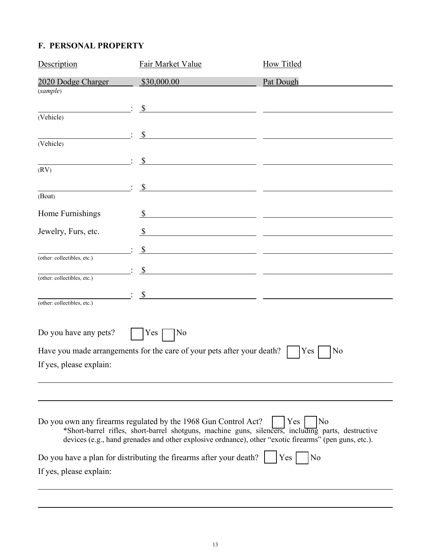# **F. PERSONAL PROPERTY**

| Description                      | Fair Market Value                                                                                                                                                                                                                                                             | <b>How Titled</b>                                                                                                    |
|----------------------------------|-------------------------------------------------------------------------------------------------------------------------------------------------------------------------------------------------------------------------------------------------------------------------------|----------------------------------------------------------------------------------------------------------------------|
| 2020 Dodge Charger               | \$30,000.00                                                                                                                                                                                                                                                                   | Pat Dough                                                                                                            |
| $\left( \textrm{sample} \right)$ |                                                                                                                                                                                                                                                                               |                                                                                                                      |
| (Vehicle)                        | $\mathcal{S}$                                                                                                                                                                                                                                                                 |                                                                                                                      |
|                                  | $\mathcal{S}$                                                                                                                                                                                                                                                                 |                                                                                                                      |
| (Vehicle)                        |                                                                                                                                                                                                                                                                               |                                                                                                                      |
|                                  | $\mathcal{S}$<br><u> 1989 - Johann Harry Harry Barn, amerikan bahasa per</u>                                                                                                                                                                                                  |                                                                                                                      |
| (RV)                             |                                                                                                                                                                                                                                                                               |                                                                                                                      |
| (Boat)                           | $\mathcal{S}$                                                                                                                                                                                                                                                                 |                                                                                                                      |
|                                  | $\mathbb{S}$                                                                                                                                                                                                                                                                  |                                                                                                                      |
| Home Furnishings                 |                                                                                                                                                                                                                                                                               |                                                                                                                      |
| Jewelry, Furs, etc.              | $\boldsymbol{\mathsf{S}}$<br><u> 1980 - Andrea Andrew Maria (h. 1980).</u>                                                                                                                                                                                                    |                                                                                                                      |
| (other: collectibles, etc.)      | $\mathcal{S}$                                                                                                                                                                                                                                                                 | <u> 1989 - Johann Stone, fransk politiker (d. 1989)</u>                                                              |
|                                  | $\mathbb{S}$                                                                                                                                                                                                                                                                  | <u> 1989 - Johann John Stein, mars eta inperiodo eta inperiodo eta inperiodo eta inperiodo eta inperiodo eta inp</u> |
| (other: collectibles, etc.)      |                                                                                                                                                                                                                                                                               |                                                                                                                      |
| (other: collectibles, etc.)      | $\mathcal{S}$                                                                                                                                                                                                                                                                 |                                                                                                                      |
|                                  |                                                                                                                                                                                                                                                                               |                                                                                                                      |
| Do you have any pets?            | No<br>Yes                                                                                                                                                                                                                                                                     |                                                                                                                      |
|                                  | Have you made arrangements for the care of your pets after your death?                                                                                                                                                                                                        | Yes<br>No                                                                                                            |
| If yes, please explain:          |                                                                                                                                                                                                                                                                               |                                                                                                                      |
|                                  |                                                                                                                                                                                                                                                                               |                                                                                                                      |
|                                  |                                                                                                                                                                                                                                                                               |                                                                                                                      |
|                                  | Do you own any firearms regulated by the 1968 Gun Control Act?<br>*Short-barrel rifles, short-barrel shotguns, machine guns, silencers, including parts, destructive<br>devices (e.g., hand grenades and other explosive ordnance), other "exotic firearms" (pen guns, etc.). | Yes<br>N <sub>o</sub>                                                                                                |
|                                  | Do you have a plan for distributing the firearms after your death?                                                                                                                                                                                                            | No<br><b>Yes</b>                                                                                                     |
| If yes, please explain:          |                                                                                                                                                                                                                                                                               |                                                                                                                      |
|                                  |                                                                                                                                                                                                                                                                               |                                                                                                                      |
|                                  |                                                                                                                                                                                                                                                                               |                                                                                                                      |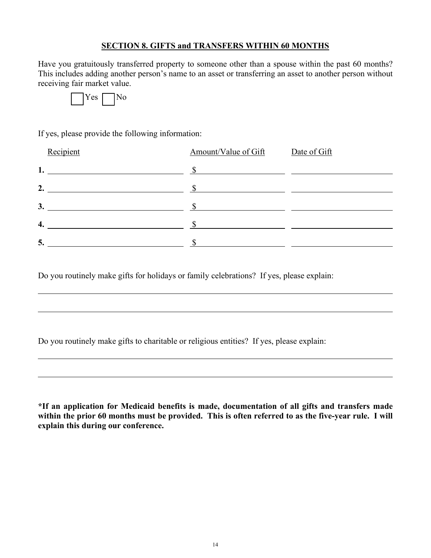#### **SECTION 8. GIFTS and TRANSFERS WITHIN 60 MONTHS**

Have you gratuitously transferred property to someone other than a spouse within the past 60 months? This includes adding another person's name to an asset or transferring an asset to another person without receiving fair market value.



If yes, please provide the following information:

| Recipient                                          | Amount/Value of Gift | Date of Gift |
|----------------------------------------------------|----------------------|--------------|
| 1.                                                 |                      |              |
| 2.                                                 |                      |              |
| 3.                                                 |                      |              |
| 4.<br><u> 1980 - Andrea Andrew Maria (b. 1980)</u> |                      |              |
| 5.                                                 |                      |              |

Do you routinely make gifts for holidays or family celebrations? If yes, please explain:

Do you routinely make gifts to charitable or religious entities? If yes, please explain:

**\*If an application for Medicaid benefits is made, documentation of all gifts and transfers made within the prior 60 months must be provided. This is often referred to as the five-year rule. I will explain this during our conference.**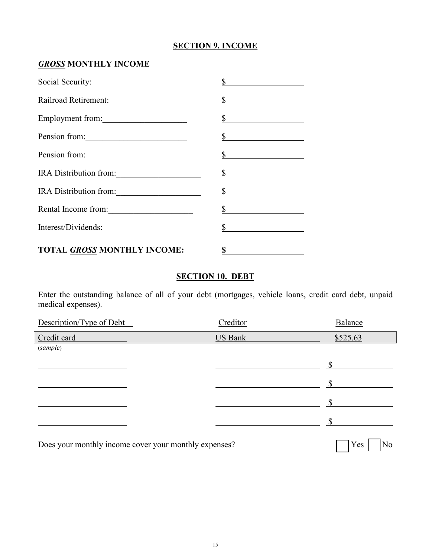## **SECTION 9. INCOME**

# *GROSS* **MONTHLY INCOME**

| Social Security:                                             |  |
|--------------------------------------------------------------|--|
| Railroad Retirement:                                         |  |
| Employment from:                                             |  |
| Pension from:                                                |  |
| Pension from:<br><u> 1986 - Jan Samuel Barbara, martin d</u> |  |
| IRA Distribution from:                                       |  |
| IRA Distribution from:                                       |  |
| Rental Income from:                                          |  |
| Interest/Dividends:                                          |  |
| TOTAL GROSS MONTHLY INCOME:                                  |  |

# **SECTION 10. DEBT**

Enter the outstanding balance of all of your debt (mortgages, vehicle loans, credit card debt, unpaid medical expenses).

| Description/Type of Debt                              | Creditor       | Balance          |
|-------------------------------------------------------|----------------|------------------|
| Credit card                                           | <b>US Bank</b> | \$525.63         |
| (sample)                                              |                |                  |
|                                                       |                |                  |
|                                                       |                |                  |
|                                                       |                |                  |
|                                                       |                | ९                |
| Does your monthly income cover your monthly expenses? |                | <b>Yes</b><br>No |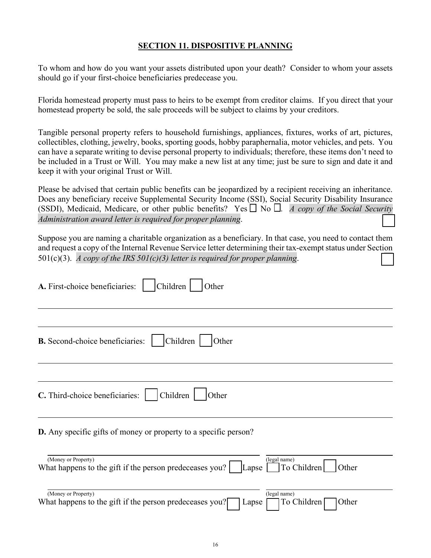#### **SECTION 11. DISPOSITIVE PLANNING**

To whom and how do you want your assets distributed upon your death? Consider to whom your assets should go if your first-choice beneficiaries predecease you.

Florida homestead property must pass to heirs to be exempt from creditor claims. If you direct that your homestead property be sold, the sale proceeds will be subject to claims by your creditors.

Tangible personal property refers to household furnishings, appliances, fixtures, works of art, pictures, collectibles, clothing, jewelry, books, sporting goods, hobby paraphernalia, motor vehicles, and pets. You can have a separate writing to devise personal property to individuals; therefore, these items don't need to be included in a Trust or Will. You may make a new list at any time; just be sure to sign and date it and keep it with your original Trust or Will.

Please be advised that certain public benefits can be jeopardized by a recipient receiving an inheritance. Does any beneficiary receive Supplemental Security Income (SSI), Social Security Disability Insurance (SSDI), Medicaid, Medicare, or other public benefits? Yes  $\Box$  No  $\Box$ . *A copy of the Social Security Administration award letter is required for proper planning.* 

Suppose you are naming a charitable organization as a beneficiary. In that case, you need to contact them and request a copy of the Internal Revenue Service letter determining their tax-exempt status under Section 501(c)(3). *A copy of the IRS 501(c)(3) letter is required for proper planning.* 

| A. First-choice beneficiaries:<br>Children<br>Other                                                                               |
|-----------------------------------------------------------------------------------------------------------------------------------|
| <b>B.</b> Second-choice beneficiaries:<br>Children<br>Other                                                                       |
| C. Third-choice beneficiaries:<br>Children<br>Other                                                                               |
| <b>D.</b> Any specific gifts of money or property to a specific person?                                                           |
| (Money or Property)<br>(legal name)<br>What happens to the gift if the person predeceases you?<br>To Children<br>Lapse [<br>Other |
| (Money or Property)<br>(legal name)<br>What happens to the gift if the person predeceases you?<br>To Children<br>Other<br>Lapse   |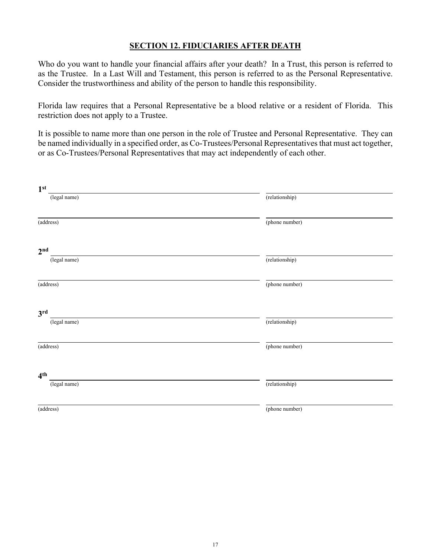#### **SECTION 12. FIDUCIARIES AFTER DEATH**

Who do you want to handle your financial affairs after your death? In a Trust, this person is referred to as the Trustee. In a Last Will and Testament, this person is referred to as the Personal Representative. Consider the trustworthiness and ability of the person to handle this responsibility.

Florida law requires that a Personal Representative be a blood relative or a resident of Florida. This restriction does not apply to a Trustee.

It is possible to name more than one person in the role of Trustee and Personal Representative. They can be named individually in a specified order, as Co-Trustees/Personal Representatives that must act together, or as Co-Trustees/Personal Representatives that may act independently of each other.

| 1 <sup>st</sup> |                |
|-----------------|----------------|
| (legal name)    | (relationship) |
| (address)       | (phone number) |
| 2 <sup>nd</sup> |                |
| (legal name)    | (relationship) |
| (address)       | (phone number) |
| 3 <sup>rd</sup> |                |
| (legal name)    | (relationship) |
| (address)       | (phone number) |
| 4 <sup>th</sup> |                |
| (legal name)    | (relationship) |
| (address)       | (phone number) |